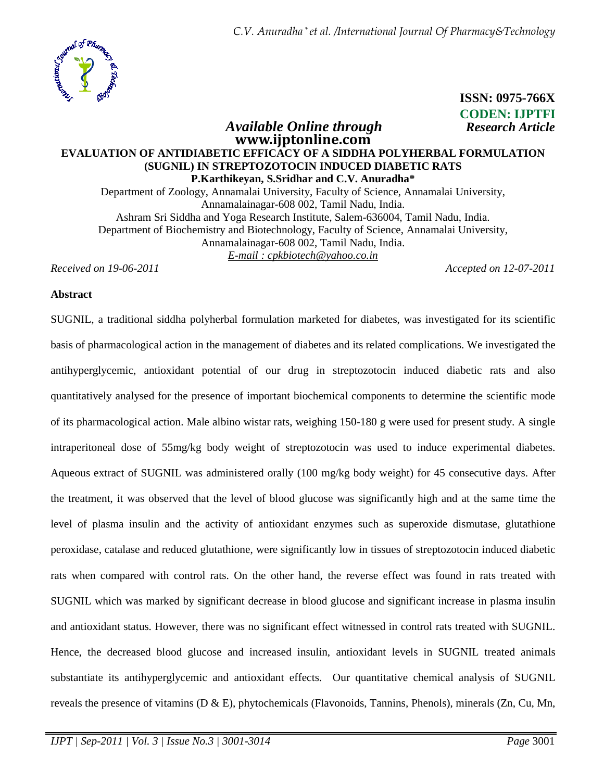

# **ISSN: 0975-766X CODEN: IJPTFI** *Available Online through Research Article*

# **www.ijptonline.com EVALUATION OF ANTIDIABETIC EFFICACY OF A SIDDHA POLYHERBAL FORMULATION (SUGNIL) IN STREPTOZOTOCIN INDUCED DIABETIC RATS P.Karthikeyan, S.Sridhar and C.V. Anuradha\***  Department of Zoology, Annamalai University, Faculty of Science, Annamalai University, Annamalainagar-608 002, Tamil Nadu, India. Ashram Sri Siddha and Yoga Research Institute, Salem-636004, Tamil Nadu, India. Department of Biochemistry and Biotechnology, Faculty of Science, Annamalai University,

Annamalainagar-608 002, Tamil Nadu, India.

*E-mail : cpkbiotech@yahoo.co.in*

*Received on 19-06-2011 Accepted on 12-07-2011*

# **Abstract**

SUGNIL, a traditional siddha polyherbal formulation marketed for diabetes, was investigated for its scientific basis of pharmacological action in the management of diabetes and its related complications. We investigated the antihyperglycemic, antioxidant potential of our drug in streptozotocin induced diabetic rats and also quantitatively analysed for the presence of important biochemical components to determine the scientific mode of its pharmacological action. Male albino wistar rats, weighing 150-180 g were used for present study. A single intraperitoneal dose of 55mg/kg body weight of streptozotocin was used to induce experimental diabetes. Aqueous extract of SUGNIL was administered orally (100 mg/kg body weight) for 45 consecutive days. After the treatment, it was observed that the level of blood glucose was significantly high and at the same time the level of plasma insulin and the activity of antioxidant enzymes such as superoxide dismutase, glutathione peroxidase, catalase and reduced glutathione, were significantly low in tissues of streptozotocin induced diabetic rats when compared with control rats. On the other hand, the reverse effect was found in rats treated with SUGNIL which was marked by significant decrease in blood glucose and significant increase in plasma insulin and antioxidant status. However, there was no significant effect witnessed in control rats treated with SUGNIL. Hence, the decreased blood glucose and increased insulin, antioxidant levels in SUGNIL treated animals substantiate its antihyperglycemic and antioxidant effects. Our quantitative chemical analysis of SUGNIL reveals the presence of vitamins ( $D \& E$ ), phytochemicals (Flavonoids, Tannins, Phenols), minerals ( $Zn$ , Cu, Mn,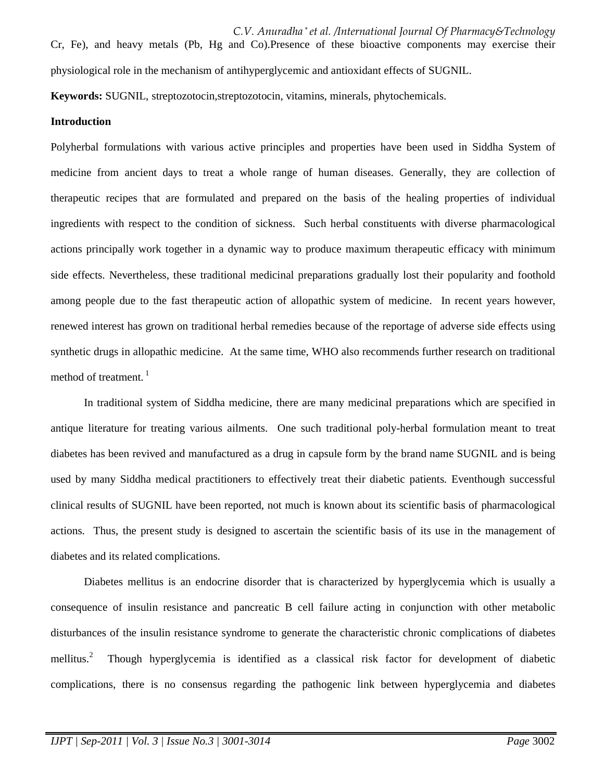**Keywords:** SUGNIL, streptozotocin,streptozotocin, vitamins, minerals, phytochemicals.

#### **Introduction**

Polyherbal formulations with various active principles and properties have been used in Siddha System of medicine from ancient days to treat a whole range of human diseases. Generally, they are collection of therapeutic recipes that are formulated and prepared on the basis of the healing properties of individual ingredients with respect to the condition of sickness. Such herbal constituents with diverse pharmacological actions principally work together in a dynamic way to produce maximum therapeutic efficacy with minimum side effects. Nevertheless, these traditional medicinal preparations gradually lost their popularity and foothold among people due to the fast therapeutic action of allopathic system of medicine. In recent years however, renewed interest has grown on traditional herbal remedies because of the reportage of adverse side effects using synthetic drugs in allopathic medicine. At the same time, WHO also recommends further research on traditional method of treatment. $1$ 

In traditional system of Siddha medicine, there are many medicinal preparations which are specified in antique literature for treating various ailments. One such traditional poly-herbal formulation meant to treat diabetes has been revived and manufactured as a drug in capsule form by the brand name SUGNIL and is being used by many Siddha medical practitioners to effectively treat their diabetic patients. Eventhough successful clinical results of SUGNIL have been reported, not much is known about its scientific basis of pharmacological actions. Thus, the present study is designed to ascertain the scientific basis of its use in the management of diabetes and its related complications.

Diabetes mellitus is an endocrine disorder that is characterized by hyperglycemia which is usually a consequence of insulin resistance and pancreatic B cell failure acting in conjunction with other metabolic disturbances of the insulin resistance syndrome to generate the characteristic chronic complications of diabetes mellitus.<sup>2</sup> Though hyperglycemia is identified as a classical risk factor for development of diabetic complications, there is no consensus regarding the pathogenic link between hyperglycemia and diabetes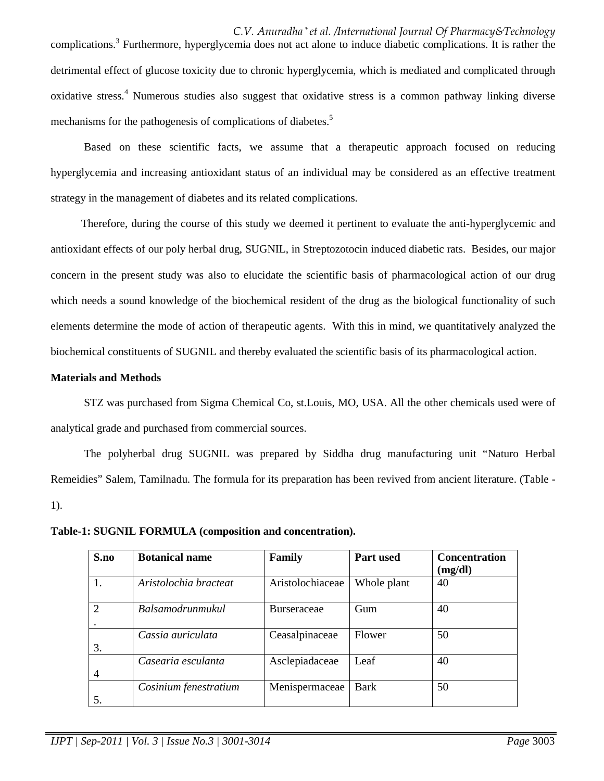*C.V. Anuradha \* et al. /International Journal Of Pharmacy&Technology* complications.<sup>3</sup> Furthermore, hyperglycemia does not act alone to induce diabetic complications. It is rather the detrimental effect of glucose toxicity due to chronic hyperglycemia, which is mediated and complicated through oxidative stress.<sup>4</sup> Numerous studies also suggest that oxidative stress is a common pathway linking diverse mechanisms for the pathogenesis of complications of diabetes.<sup>5</sup>

Based on these scientific facts, we assume that a therapeutic approach focused on reducing hyperglycemia and increasing antioxidant status of an individual may be considered as an effective treatment strategy in the management of diabetes and its related complications.

 Therefore, during the course of this study we deemed it pertinent to evaluate the anti-hyperglycemic and antioxidant effects of our poly herbal drug, SUGNIL, in Streptozotocin induced diabetic rats. Besides, our major concern in the present study was also to elucidate the scientific basis of pharmacological action of our drug which needs a sound knowledge of the biochemical resident of the drug as the biological functionality of such elements determine the mode of action of therapeutic agents. With this in mind, we quantitatively analyzed the biochemical constituents of SUGNIL and thereby evaluated the scientific basis of its pharmacological action.

# **Materials and Methods**

 STZ was purchased from Sigma Chemical Co, st.Louis, MO, USA. All the other chemicals used were of analytical grade and purchased from commercial sources.

 The polyherbal drug SUGNIL was prepared by Siddha drug manufacturing unit "Naturo Herbal Remeidies" Salem, Tamilnadu. The formula for its preparation has been revived from ancient literature. (Table - 1).

**Table-1: SUGNIL FORMULA (composition and concentration).** 

| S.no           | <b>Botanical name</b>   | Family             | Part used   | <b>Concentration</b><br>(mg/dl) |
|----------------|-------------------------|--------------------|-------------|---------------------------------|
| 1.             | Aristolochia bracteat   | Aristolochiaceae   | Whole plant | 40                              |
| $\overline{2}$ | <b>Balsamodrunmukul</b> | <b>Burseraceae</b> | Gum         | 40                              |
| 3.             | Cassia auriculata       | Ceasalpinaceae     | Flower      | 50                              |
| 4              | Casearia esculanta      | Asclepiadaceae     | Leaf        | 40                              |
| 5.             | Cosinium fenestratium   | Menispermaceae     | <b>Bark</b> | 50                              |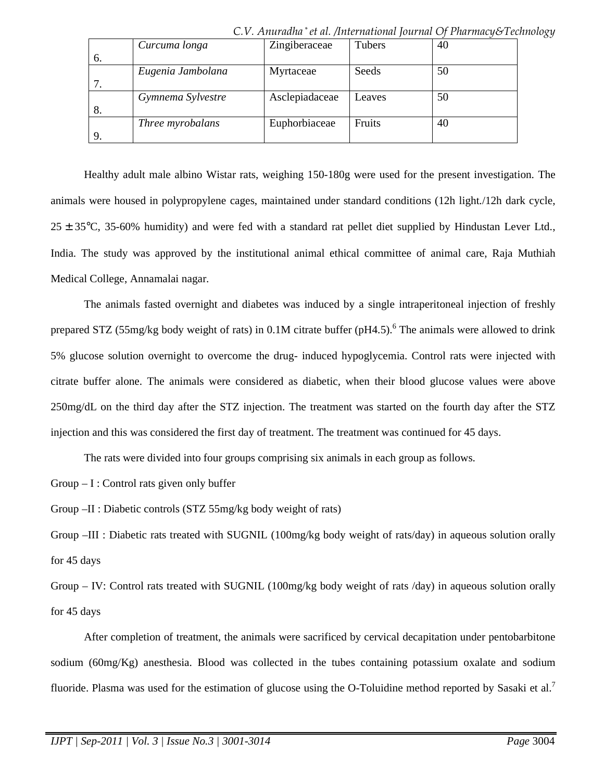|     | Curcuma longa     | Zingiberaceae  | Tubers | 40 |
|-----|-------------------|----------------|--------|----|
| 6.  |                   |                |        |    |
|     | Eugenia Jambolana | Myrtaceae      | Seeds  | 50 |
|     |                   |                |        |    |
|     | Gymnema Sylvestre | Asclepiadaceae | Leaves | 50 |
| -8. |                   |                |        |    |
|     | Three myrobalans  | Euphorbiaceae  | Fruits | 40 |
|     |                   |                |        |    |

*C.V. Anuradha \* et al. /International Journal Of Pharmacy&Technology*

 Healthy adult male albino Wistar rats, weighing 150-180g were used for the present investigation. The animals were housed in polypropylene cages, maintained under standard conditions (12h light./12h dark cycle,  $25 \pm 35^{\circ}$ C, 35-60% humidity) and were fed with a standard rat pellet diet supplied by Hindustan Lever Ltd., India. The study was approved by the institutional animal ethical committee of animal care, Raja Muthiah Medical College, Annamalai nagar.

 The animals fasted overnight and diabetes was induced by a single intraperitoneal injection of freshly prepared STZ (55mg/kg body weight of rats) in 0.1M citrate buffer (pH4.5).<sup>6</sup> The animals were allowed to drink 5% glucose solution overnight to overcome the drug- induced hypoglycemia. Control rats were injected with citrate buffer alone. The animals were considered as diabetic, when their blood glucose values were above 250mg/dL on the third day after the STZ injection. The treatment was started on the fourth day after the STZ injection and this was considered the first day of treatment. The treatment was continued for 45 days.

The rats were divided into four groups comprising six animals in each group as follows.

 $Group - I: Control$  rats given only buffer

Group –II : Diabetic controls (STZ 55mg/kg body weight of rats)

Group –III : Diabetic rats treated with SUGNIL (100mg/kg body weight of rats/day) in aqueous solution orally for 45 days

Group – IV: Control rats treated with SUGNIL (100mg/kg body weight of rats /day) in aqueous solution orally for 45 days

 After completion of treatment, the animals were sacrificed by cervical decapitation under pentobarbitone sodium (60mg/Kg) anesthesia. Blood was collected in the tubes containing potassium oxalate and sodium fluoride. Plasma was used for the estimation of glucose using the O-Toluidine method reported by Sasaki et al.<sup>7</sup>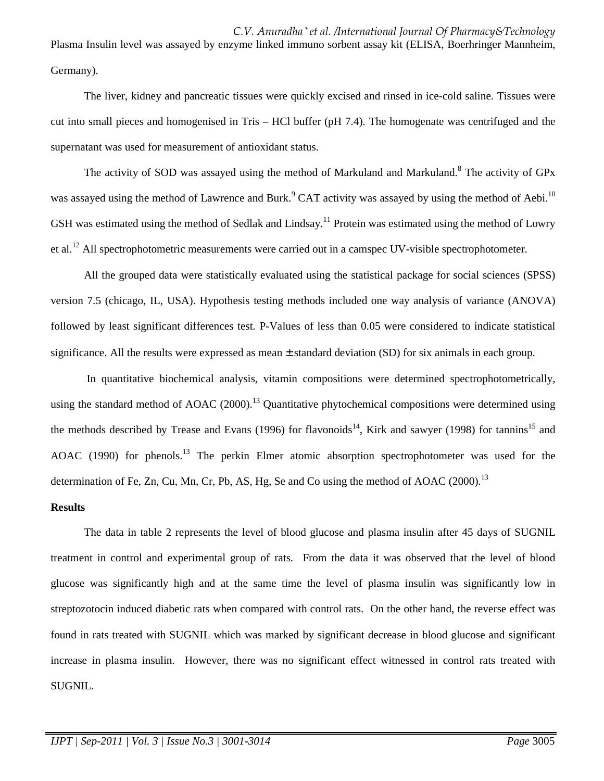*C.V. Anuradha \* et al. /International Journal Of Pharmacy&Technology* Plasma Insulin level was assayed by enzyme linked immuno sorbent assay kit (ELISA, Boerhringer Mannheim, Germany).

 The liver, kidney and pancreatic tissues were quickly excised and rinsed in ice-cold saline. Tissues were cut into small pieces and homogenised in Tris – HCl buffer (pH 7.4). The homogenate was centrifuged and the supernatant was used for measurement of antioxidant status.

The activity of SOD was assayed using the method of Markuland and Markuland.<sup>8</sup> The activity of GPx was assayed using the method of Lawrence and Burk.<sup>9</sup> CAT activity was assayed by using the method of Aebi.<sup>10</sup> GSH was estimated using the method of Sedlak and Lindsay.<sup>11</sup> Protein was estimated using the method of Lowry et al.<sup>12</sup> All spectrophotometric measurements were carried out in a camspec UV-visible spectrophotometer.

 All the grouped data were statistically evaluated using the statistical package for social sciences (SPSS) version 7.5 (chicago, IL, USA). Hypothesis testing methods included one way analysis of variance (ANOVA) followed by least significant differences test. P-Values of less than 0.05 were considered to indicate statistical significance. All the results were expressed as mean ± standard deviation (SD) for six animals in each group.

 In quantitative biochemical analysis, vitamin compositions were determined spectrophotometrically, using the standard method of AOAC  $(2000)$ <sup>13</sup> Quantitative phytochemical compositions were determined using the methods described by Trease and Evans (1996) for flavonoids<sup>14</sup>, Kirk and sawyer (1998) for tannins<sup>15</sup> and AOAC (1990) for phenols.<sup>13</sup> The perkin Elmer atomic absorption spectrophotometer was used for the determination of Fe, Zn, Cu, Mn, Cr, Pb, AS, Hg, Se and Co using the method of AOAC  $(2000)$ <sup>13</sup>

#### **Results**

The data in table 2 represents the level of blood glucose and plasma insulin after 45 days of SUGNIL treatment in control and experimental group of rats. From the data it was observed that the level of blood glucose was significantly high and at the same time the level of plasma insulin was significantly low in streptozotocin induced diabetic rats when compared with control rats. On the other hand, the reverse effect was found in rats treated with SUGNIL which was marked by significant decrease in blood glucose and significant increase in plasma insulin. However, there was no significant effect witnessed in control rats treated with SUGNIL.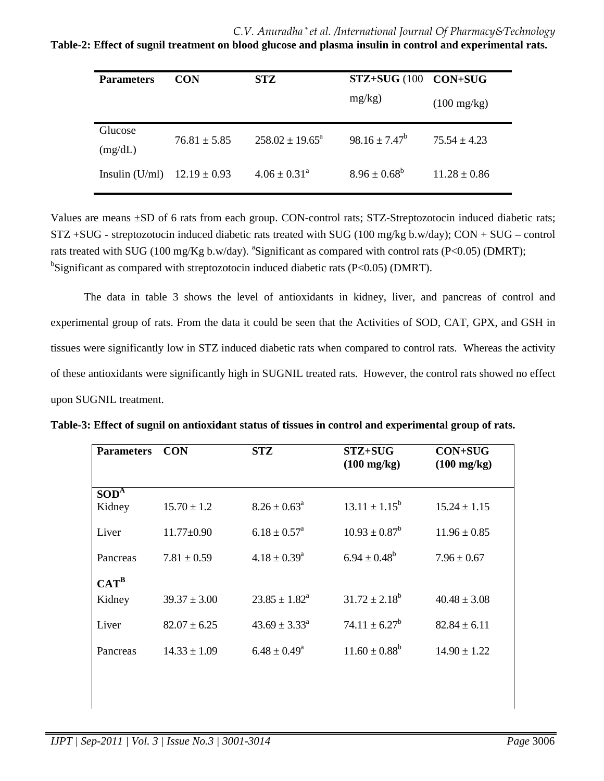*C.V. Anuradha \* et al. /International Journal Of Pharmacy&Technology*

**Table-2: Effect of sugnil treatment on blood glucose and plasma insulin in control and experimental rats.** 

| <b>Parameters</b>  | <b>CON</b>       | STZ                        | STZ+SUG (100 CON+SUG |                       |
|--------------------|------------------|----------------------------|----------------------|-----------------------|
|                    |                  |                            | mg/kg)               | $(100 \text{ mg/kg})$ |
| Glucose<br>(mg/dL) | $76.81 \pm 5.85$ | $258.02 \pm 19.65^{\circ}$ | $98.16 \pm 7.47^b$   | $75.54 \pm 4.23$      |
| Insulin $(U/ml)$   | $12.19 \pm 0.93$ | $4.06 \pm 0.31^{\circ}$    | $8.96 \pm 0.68^b$    | $11.28 \pm 0.86$      |
|                    |                  |                            |                      |                       |

Values are means ±SD of 6 rats from each group. CON-control rats; STZ-Streptozotocin induced diabetic rats; STZ +SUG - streptozotocin induced diabetic rats treated with SUG (100 mg/kg b.w/day); CON + SUG – control rats treated with SUG (100 mg/Kg b.w/day). <sup>a</sup>Significant as compared with control rats (P<0.05) (DMRT); <sup>b</sup>Significant as compared with streptozotocin induced diabetic rats (P<0.05) (DMRT).

The data in table 3 shows the level of antioxidants in kidney, liver, and pancreas of control and experimental group of rats. From the data it could be seen that the Activities of SOD, CAT, GPX, and GSH in tissues were significantly low in STZ induced diabetic rats when compared to control rats. Whereas the activity of these antioxidants were significantly high in SUGNIL treated rats. However, the control rats showed no effect upon SUGNIL treatment.

| <b>Parameters</b>    | <b>CON</b>       | <b>STZ</b>                  | STZ+SUG<br>$(100 \text{ mg/kg})$ | <b>CON+SUG</b><br>$(100 \text{ mg/kg})$ |
|----------------------|------------------|-----------------------------|----------------------------------|-----------------------------------------|
| $SOD^{\overline{A}}$ |                  |                             |                                  |                                         |
| Kidney               | $15.70 \pm 1.2$  | $8.26 \pm 0.63^a$           | $13.11 \pm 1.15^b$               | $15.24 \pm 1.15$                        |
| Liver                | $11.77 \pm 0.90$ | $6.18 \pm 0.57^{\text{a}}$  | $10.93 \pm 0.87^b$               | $11.96 \pm 0.85$                        |
| Pancreas             | $7.81 \pm 0.59$  | $4.18 \pm 0.39^{\rm a}$     | $6.94 \pm 0.48^b$                | $7.96 \pm 0.67$                         |
| $CAT^B$              |                  |                             |                                  |                                         |
| Kidney               | $39.37 \pm 3.00$ | $23.85 \pm 1.82^{\text{a}}$ | $31.72 \pm 2.18^b$               | $40.48 \pm 3.08$                        |
| Liver                | $82.07 \pm 6.25$ | $43.69 \pm 3.33^{\circ}$    | $74.11 \pm 6.27^b$               | $82.84 \pm 6.11$                        |
| Pancreas             | $14.33 \pm 1.09$ | $6.48 \pm 0.49^{\circ}$     | $11.60 \pm 0.88^b$               | $14.90 \pm 1.22$                        |
|                      |                  |                             |                                  |                                         |

**Table-3: Effect of sugnil on antioxidant status of tissues in control and experimental group of rats.**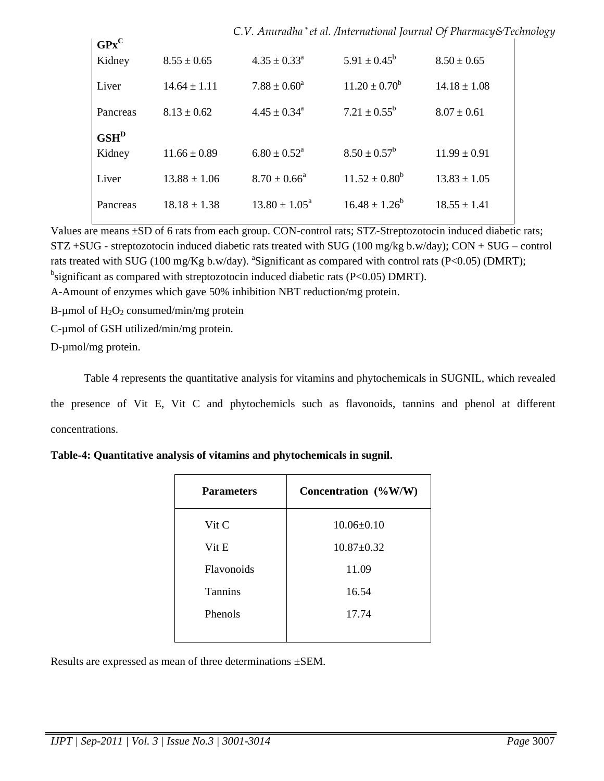|                                                           |                  | C.V. Anuradha* et al. /International Journal Of Pharmacy&Technology |                         |                  |  |
|-----------------------------------------------------------|------------------|---------------------------------------------------------------------|-------------------------|------------------|--|
| $\mathbf{G} \mathbf{P} \mathbf{x}^{\mathbf{C}}$<br>Kidney | $8.55 \pm 0.65$  | $4.35 \pm 0.33^{\text{a}}$                                          | $5.91 \pm 0.45^b$       | $8.50 \pm 0.65$  |  |
|                                                           |                  |                                                                     |                         |                  |  |
| Liver                                                     | $14.64 \pm 1.11$ | $7.88 \pm 0.60^a$                                                   | $11.20 \pm 0.70^b$      | $14.18 \pm 1.08$ |  |
| Pancreas                                                  | $8.13 \pm 0.62$  | $4.45 \pm 0.34$ <sup>a</sup>                                        | $7.21 \pm 0.55^{\rm b}$ | $8.07 \pm 0.61$  |  |
| $GSH^D$                                                   |                  |                                                                     |                         |                  |  |
| Kidney                                                    | $11.66 \pm 0.89$ | $6.80 \pm 0.52^{\text{a}}$                                          | $8.50 \pm 0.57^b$       | $11.99 \pm 0.91$ |  |
| Liver                                                     | $13.88 \pm 1.06$ | $8.70 \pm 0.66^{\circ}$                                             | $11.52 \pm 0.80^b$      | $13.83 \pm 1.05$ |  |
| Pancreas                                                  | $18.18 \pm 1.38$ | $13.80 \pm 1.05^{\circ}$                                            | $16.48 \pm 1.26^b$      | $18.55 \pm 1.41$ |  |
|                                                           |                  |                                                                     |                         |                  |  |

Values are means  $\pm$ SD of 6 rats from each group. CON-control rats; STZ-Streptozotocin induced diabetic rats; STZ +SUG - streptozotocin induced diabetic rats treated with SUG (100 mg/kg b.w/day); CON + SUG – control rats treated with SUG (100 mg/Kg b.w/day). <sup>a</sup>Significant as compared with control rats (P<0.05) (DMRT);  $^{b}$ significant as compared with streptozotocin induced diabetic rats (P<0.05) DMRT).

A-Amount of enzymes which gave 50% inhibition NBT reduction/mg protein.

B-µmol of  $H_2O_2$  consumed/min/mg protein

C-µmol of GSH utilized/min/mg protein.

D-µmol/mg protein.

Table 4 represents the quantitative analysis for vitamins and phytochemicals in SUGNIL, which revealed the presence of Vit E, Vit C and phytochemicls such as flavonoids, tannins and phenol at different concentrations.

| <b>Parameters</b> | Concentration (%W/W) |
|-------------------|----------------------|
| $V$ it C          | $10.06 \pm 0.10$     |
| Vit E             | $10.87 \pm 0.32$     |
| Flavonoids        | 11.09                |
| <b>Tannins</b>    | 16.54                |
| Phenols           | 17.74                |
|                   |                      |

|  |  | Table-4: Quantitative analysis of vitamins and phytochemicals in sugnil. |  |
|--|--|--------------------------------------------------------------------------|--|
|  |  |                                                                          |  |

Results are expressed as mean of three determinations ±SEM.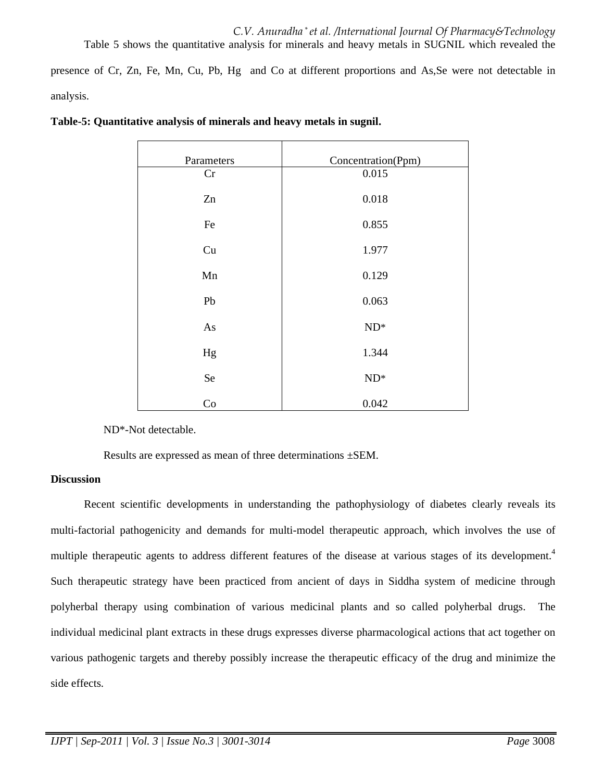presence of Cr, Zn, Fe, Mn, Cu, Pb, Hg and Co at different proportions and As,Se were not detectable in analysis.

| Parameters | Concentration(Ppm) |
|------------|--------------------|
| Cr         | 0.015              |
| Zn         | 0.018              |
| Fe         | 0.855              |
| Cu         | 1.977              |
| Mn         | 0.129              |
| Pb         | 0.063              |
| As         | $ND^*$             |
| Hg         | 1.344              |
| Se         | $ND^*$             |
| Co         | 0.042              |

|  |  | Table-5: Quantitative analysis of minerals and heavy metals in sugnil. |  |
|--|--|------------------------------------------------------------------------|--|
|  |  |                                                                        |  |

ND\*-Not detectable.

Results are expressed as mean of three determinations ±SEM.

#### **Discussion**

Recent scientific developments in understanding the pathophysiology of diabetes clearly reveals its multi-factorial pathogenicity and demands for multi-model therapeutic approach, which involves the use of multiple therapeutic agents to address different features of the disease at various stages of its development.<sup>4</sup> Such therapeutic strategy have been practiced from ancient of days in Siddha system of medicine through polyherbal therapy using combination of various medicinal plants and so called polyherbal drugs. The individual medicinal plant extracts in these drugs expresses diverse pharmacological actions that act together on various pathogenic targets and thereby possibly increase the therapeutic efficacy of the drug and minimize the side effects.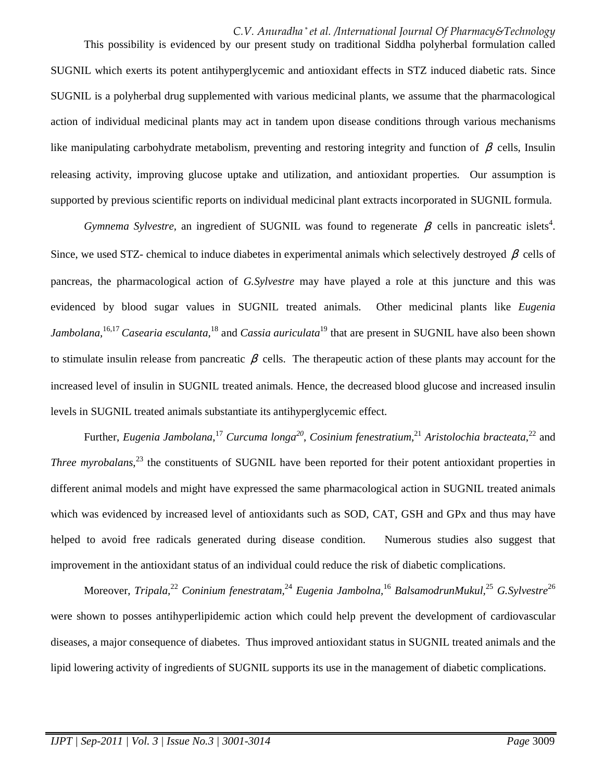# *C.V. Anuradha \* et al. /International Journal Of Pharmacy&Technology*

 This possibility is evidenced by our present study on traditional Siddha polyherbal formulation called SUGNIL which exerts its potent antihyperglycemic and antioxidant effects in STZ induced diabetic rats. Since SUGNIL is a polyherbal drug supplemented with various medicinal plants, we assume that the pharmacological action of individual medicinal plants may act in tandem upon disease conditions through various mechanisms like manipulating carbohydrate metabolism, preventing and restoring integrity and function of  $\beta$  cells, Insulin releasing activity, improving glucose uptake and utilization, and antioxidant properties. Our assumption is supported by previous scientific reports on individual medicinal plant extracts incorporated in SUGNIL formula.

*Gymnema Sylvestre*, an ingredient of SUGNIL was found to regenerate  $\beta$  cells in pancreatic islets<sup>4</sup>. Since, we used STZ- chemical to induce diabetes in experimental animals which selectively destroyed  $\beta$  cells of pancreas, the pharmacological action of *G.Sylvestre* may have played a role at this juncture and this was evidenced by blood sugar values in SUGNIL treated animals. Other medicinal plants like *Eugenia Jambolana,*16,17 *Casearia esculanta,*<sup>18</sup> and *Cassia auriculata*<sup>19</sup> that are present in SUGNIL have also been shown to stimulate insulin release from pancreatic  $\beta$  cells. The therapeutic action of these plants may account for the increased level of insulin in SUGNIL treated animals. Hence, the decreased blood glucose and increased insulin levels in SUGNIL treated animals substantiate its antihyperglycemic effect.

Further, *Eugenia Jambolana*, <sup>17</sup> *Curcuma longa<sup>20</sup>* , *Cosinium fenestratium*, <sup>21</sup> *Aristolochia bracteata*, <sup>22</sup> and *Three myrobalans*, <sup>23</sup> the constituents of SUGNIL have been reported for their potent antioxidant properties in different animal models and might have expressed the same pharmacological action in SUGNIL treated animals which was evidenced by increased level of antioxidants such as SOD, CAT, GSH and GPx and thus may have helped to avoid free radicals generated during disease condition. Numerous studies also suggest that improvement in the antioxidant status of an individual could reduce the risk of diabetic complications.

Moreover, *Tripala,*<sup>22</sup> *Coninium fenestratam,*<sup>24</sup> *Eugenia Jambolna,*<sup>16</sup> *BalsamodrunMukul,*<sup>25</sup> *G.Sylvestre*<sup>26</sup> were shown to posses antihyperlipidemic action which could help prevent the development of cardiovascular diseases, a major consequence of diabetes. Thus improved antioxidant status in SUGNIL treated animals and the lipid lowering activity of ingredients of SUGNIL supports its use in the management of diabetic complications.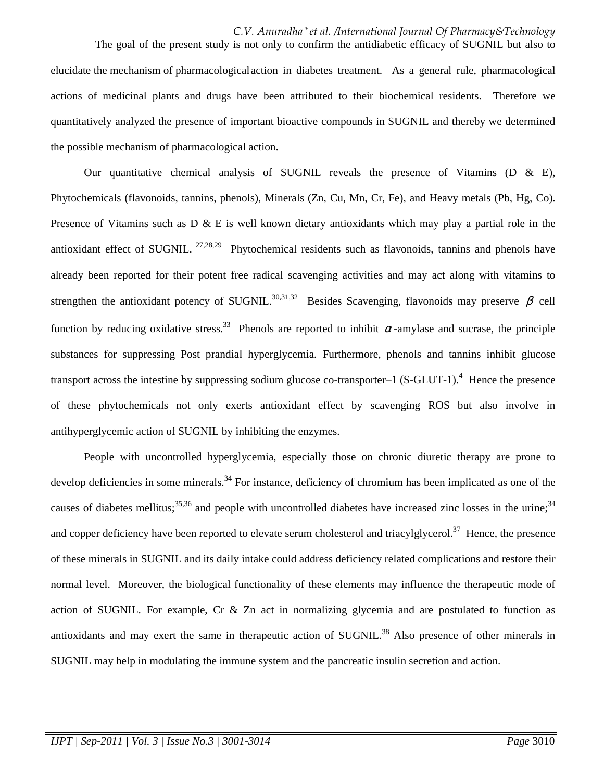*C.V. Anuradha \* et al. /International Journal Of Pharmacy&Technology* The goal of the present study is not only to confirm the antidiabetic efficacy of SUGNIL but also to elucidate the mechanism of pharmacological action in diabetes treatment. As a general rule, pharmacological actions of medicinal plants and drugs have been attributed to their biochemical residents. Therefore we quantitatively analyzed the presence of important bioactive compounds in SUGNIL and thereby we determined the possible mechanism of pharmacological action.

Our quantitative chemical analysis of SUGNIL reveals the presence of Vitamins (D & E), Phytochemicals (flavonoids, tannins, phenols), Minerals (Zn, Cu, Mn, Cr, Fe), and Heavy metals (Pb, Hg, Co). Presence of Vitamins such as  $D \& E$  is well known dietary antioxidants which may play a partial role in the antioxidant effect of SUGNIL. <sup>27,28,29</sup> Phytochemical residents such as flavonoids, tannins and phenols have already been reported for their potent free radical scavenging activities and may act along with vitamins to strengthen the antioxidant potency of SUGNIL.<sup>30,31,32</sup> Besides Scavenging, flavonoids may preserve  $\beta$  cell function by reducing oxidative stress.<sup>33</sup> Phenols are reported to inhibit  $\alpha$ -amylase and sucrase, the principle substances for suppressing Post prandial hyperglycemia. Furthermore, phenols and tannins inhibit glucose transport across the intestine by suppressing sodium glucose co-transporter–1  $(S-GLUT-1)$ .<sup>4</sup> Hence the presence of these phytochemicals not only exerts antioxidant effect by scavenging ROS but also involve in antihyperglycemic action of SUGNIL by inhibiting the enzymes.

 People with uncontrolled hyperglycemia, especially those on chronic diuretic therapy are prone to develop deficiencies in some minerals.<sup>34</sup> For instance, deficiency of chromium has been implicated as one of the causes of diabetes mellitus;<sup>35,36</sup> and people with uncontrolled diabetes have increased zinc losses in the urine;<sup>34</sup> and copper deficiency have been reported to elevate serum cholesterol and triacylglycerol.<sup>37</sup> Hence, the presence of these minerals in SUGNIL and its daily intake could address deficiency related complications and restore their normal level. Moreover, the biological functionality of these elements may influence the therapeutic mode of action of SUGNIL. For example, Cr & Zn act in normalizing glycemia and are postulated to function as antioxidants and may exert the same in therapeutic action of SUGNIL.<sup>38</sup> Also presence of other minerals in SUGNIL may help in modulating the immune system and the pancreatic insulin secretion and action.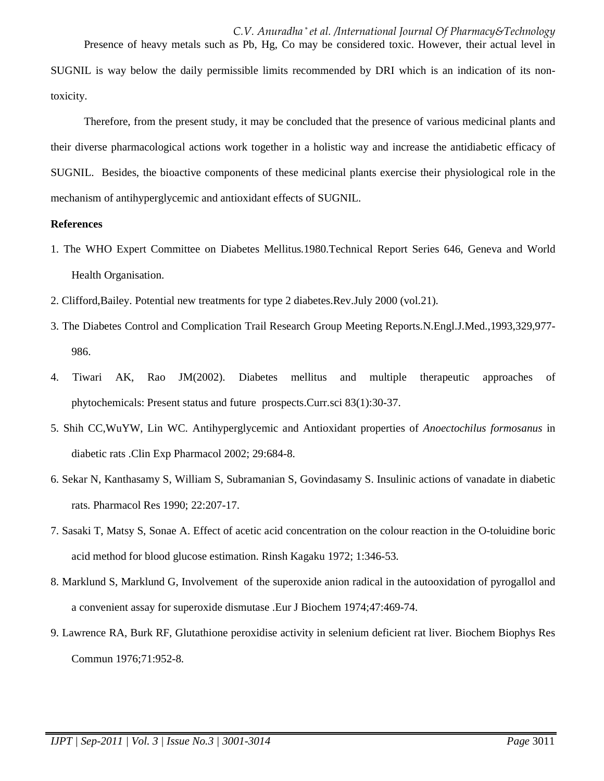*C.V. Anuradha \* et al. /International Journal Of Pharmacy&Technology* Presence of heavy metals such as Pb, Hg, Co may be considered toxic. However, their actual level in SUGNIL is way below the daily permissible limits recommended by DRI which is an indication of its nontoxicity.

 Therefore, from the present study, it may be concluded that the presence of various medicinal plants and their diverse pharmacological actions work together in a holistic way and increase the antidiabetic efficacy of SUGNIL. Besides, the bioactive components of these medicinal plants exercise their physiological role in the mechanism of antihyperglycemic and antioxidant effects of SUGNIL.

# **References**

- 1. The WHO Expert Committee on Diabetes Mellitus.1980.Technical Report Series 646, Geneva and World Health Organisation.
- 2. Clifford,Bailey. Potential new treatments for type 2 diabetes.Rev.July 2000 (vol.21).
- 3. The Diabetes Control and Complication Trail Research Group Meeting Reports.N.Engl.J.Med.,1993,329,977- 986.
- 4. Tiwari AK, Rao JM(2002). Diabetes mellitus and multiple therapeutic approaches of phytochemicals: Present status and future prospects.Curr.sci 83(1):30-37.
- 5. Shih CC,WuYW, Lin WC. Antihyperglycemic and Antioxidant properties of *Anoectochilus formosanus* in diabetic rats .Clin Exp Pharmacol 2002; 29:684-8.
- 6. Sekar N, Kanthasamy S, William S, Subramanian S, Govindasamy S. Insulinic actions of vanadate in diabetic rats. Pharmacol Res 1990; 22:207-17.
- 7. Sasaki T, Matsy S, Sonae A. Effect of acetic acid concentration on the colour reaction in the O-toluidine boric acid method for blood glucose estimation. Rinsh Kagaku 1972; 1:346-53.
- 8. Marklund S, Marklund G, Involvement of the superoxide anion radical in the autooxidation of pyrogallol and a convenient assay for superoxide dismutase .Eur J Biochem 1974;47:469-74.
- 9. Lawrence RA, Burk RF, Glutathione peroxidise activity in selenium deficient rat liver. Biochem Biophys Res Commun 1976;71:952-8.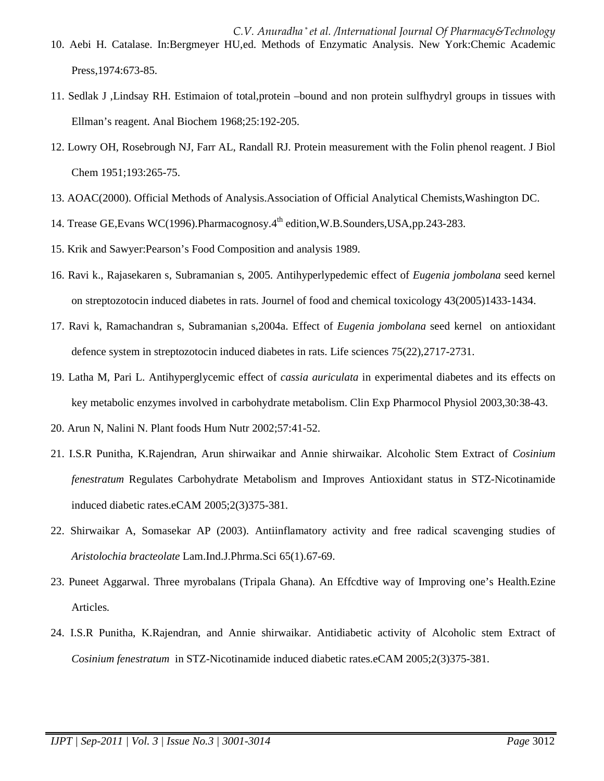*C.V. Anuradha \* et al. /International Journal Of Pharmacy&Technology* 10. Aebi H. Catalase. In:Bergmeyer HU,ed. Methods of Enzymatic Analysis. New York:Chemic Academic Press,1974:673-85.

- 11. Sedlak J ,Lindsay RH. Estimaion of total,protein –bound and non protein sulfhydryl groups in tissues with Ellman's reagent. Anal Biochem 1968;25:192-205.
- 12. Lowry OH, Rosebrough NJ, Farr AL, Randall RJ. Protein measurement with the Folin phenol reagent. J Biol Chem 1951;193:265-75.
- 13. AOAC(2000). Official Methods of Analysis.Association of Official Analytical Chemists,Washington DC.
- 14. Trease GE, Evans WC(1996). Pharmacognosy. 4<sup>th</sup> edition, W.B. Sounders, USA, pp. 243-283.
- 15. Krik and Sawyer:Pearson's Food Composition and analysis 1989.
- 16. Ravi k., Rajasekaren s, Subramanian s, 2005. Antihyperlypedemic effect of *Eugenia jombolana* seed kernel on streptozotocin induced diabetes in rats. Journel of food and chemical toxicology 43(2005)1433-1434.
- 17. Ravi k, Ramachandran s, Subramanian s,2004a. Effect of *Eugenia jombolana* seed kernel on antioxidant defence system in streptozotocin induced diabetes in rats. Life sciences 75(22),2717-2731.
- 19. Latha M, Pari L. Antihyperglycemic effect of *cassia auriculata* in experimental diabetes and its effects on key metabolic enzymes involved in carbohydrate metabolism. Clin Exp Pharmocol Physiol 2003,30:38-43.
- 20. Arun N, Nalini N. Plant foods Hum Nutr 2002;57:41-52.
- 21. I.S.R Punitha, K.Rajendran, Arun shirwaikar and Annie shirwaikar. Alcoholic Stem Extract of *Cosinium fenestratum* Regulates Carbohydrate Metabolism and Improves Antioxidant status in STZ-Nicotinamide induced diabetic rates.eCAM 2005;2(3)375-381.
- 22. Shirwaikar A, Somasekar AP (2003). Antiinflamatory activity and free radical scavenging studies of *Aristolochia bracteolate* Lam.Ind.J.Phrma.Sci 65(1).67-69.
- 23. Puneet Aggarwal. Three myrobalans (Tripala Ghana). An Effcdtive way of Improving one's Health.Ezine Articles.
- 24. I.S.R Punitha, K.Rajendran, and Annie shirwaikar. Antidiabetic activity of Alcoholic stem Extract of *Cosinium fenestratum* in STZ-Nicotinamide induced diabetic rates.eCAM 2005;2(3)375-381.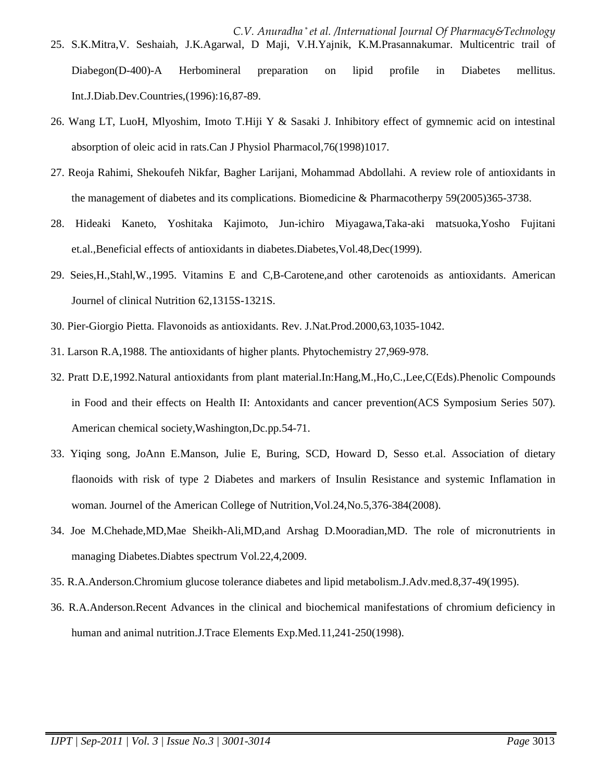- *C.V. Anuradha \* et al. /International Journal Of Pharmacy&Technology* 25. S.K.Mitra,V. Seshaiah, J.K.Agarwal, D Maji, V.H.Yajnik, K.M.Prasannakumar. Multicentric trail of Diabegon(D-400)-A Herbomineral preparation on lipid profile in Diabetes mellitus. Int.J.Diab.Dev.Countries,(1996):16,87-89.
- 26. Wang LT, LuoH, Mlyoshim, Imoto T.Hiji Y & Sasaki J. Inhibitory effect of gymnemic acid on intestinal absorption of oleic acid in rats.Can J Physiol Pharmacol,76(1998)1017.
- 27. Reoja Rahimi, Shekoufeh Nikfar, Bagher Larijani, Mohammad Abdollahi. A review role of antioxidants in the management of diabetes and its complications. Biomedicine & Pharmacotherpy 59(2005)365-3738.
- 28. Hideaki Kaneto, Yoshitaka Kajimoto, Jun-ichiro Miyagawa,Taka-aki matsuoka,Yosho Fujitani et.al.,Beneficial effects of antioxidants in diabetes.Diabetes,Vol.48,Dec(1999).
- 29. Seies,H.,Stahl,W.,1995. Vitamins E and C,B-Carotene,and other carotenoids as antioxidants. American Journel of clinical Nutrition 62,1315S-1321S.
- 30. Pier-Giorgio Pietta. Flavonoids as antioxidants. Rev. J.Nat.Prod.2000,63,1035-1042.
- 31. Larson R.A,1988. The antioxidants of higher plants. Phytochemistry 27,969-978.
- 32. Pratt D.E,1992.Natural antioxidants from plant material.In:Hang,M.,Ho,C.,Lee,C(Eds).Phenolic Compounds in Food and their effects on Health II: Antoxidants and cancer prevention(ACS Symposium Series 507). American chemical society,Washington,Dc.pp.54-71.
- 33. Yiqing song, JoAnn E.Manson, Julie E, Buring, SCD, Howard D, Sesso et.al. Association of dietary flaonoids with risk of type 2 Diabetes and markers of Insulin Resistance and systemic Inflamation in woman. Journel of the American College of Nutrition,Vol.24,No.5,376-384(2008).
- 34. Joe M.Chehade,MD,Mae Sheikh-Ali,MD,and Arshag D.Mooradian,MD. The role of micronutrients in managing Diabetes.Diabtes spectrum Vol.22,4,2009.
- 35. R.A.Anderson.Chromium glucose tolerance diabetes and lipid metabolism.J.Adv.med.8,37-49(1995).
- 36. R.A.Anderson.Recent Advances in the clinical and biochemical manifestations of chromium deficiency in human and animal nutrition.J.Trace Elements Exp.Med.11,241-250(1998).